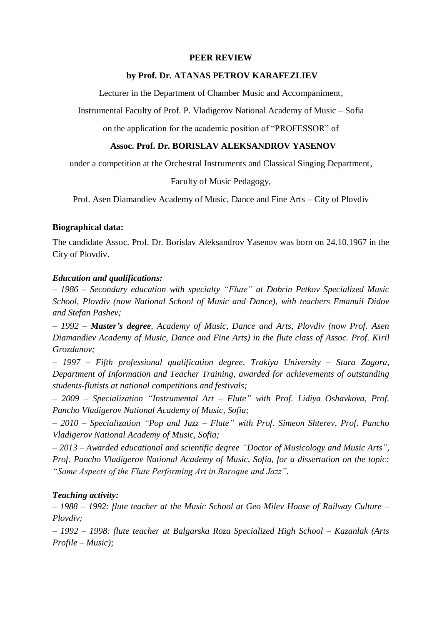## **PEER REVIEW**

#### **by Prof. Dr. ATANAS PETROV KARAFEZLIEV**

Lecturer in the Department of Chamber Music and Accompaniment,

Instrumental Faculty of Prof. P. Vladigerov National Academy of Music – Sofia

on the application for the academic position of "PROFESSOR" of

# **Assoc. Prof. Dr. BORISLAV ALEKSANDROV YASENOV**

under a competition at the Orchestral Instruments and Classical Singing Department,

Faculty of Music Pedagogy,

Prof. Asen Diamandiev Academy of Music, Dance and Fine Arts – City of Plovdiv

#### **Biographical data:**

The candidate Assoc. Prof. Dr. Borislav Aleksandrov Yasenov was born on 24.10.1967 in the City of Plovdiv.

#### *Education and qualifications:*

*– 1986 – Secondary education with specialty "Flute" at Dobrin Petkov Specialized Music School, Plovdiv (now National School of Music and Dance), with teachers Emanuil Didov and Stefan Pashev;* 

*– 1992 – Master's degree, Academy of Music, Dance and Arts, Plovdiv (now Prof. Asen Diamandiev Academy of Music, Dance and Fine Arts) in the flute class of Assoc. Prof. Kiril Grozdanov;* 

*– 1997 – Fifth professional qualification degree, Trakiya University – Stara Zagora, Department of Information and Teacher Training, awarded for achievements of outstanding students-flutists at national competitions and festivals;* 

*– 2009 – Specialization "Instrumental Art – Flute" with Prof. Lidiya Oshavkova, Prof. Pancho Vladigerov National Academy of Music, Sofia;* 

*– 2010 – Specialization "Pop and Jazz – Flute" with Prof. Simeon Shterev, Prof. Pancho Vladigerov National Academy of Music, Sofia;* 

*– 2013 – Awarded educational and scientific degree "Doctor of Musicology and Music Arts", Prof. Pancho Vladigerov National Academy of Music, Sofia, for a dissertation on the topic: "Some Aspects of the Flute Performing Art in Baroque and Jazz".* 

## *Teaching activity:*

*– 1988 – 1992: flute teacher at the Music School at Geo Milev House of Railway Culture – Plovdiv;*

*– 1992 – 1998: flute teacher at Balgarska Roza Specialized High School – Kazanlak (Arts Profile – Music);*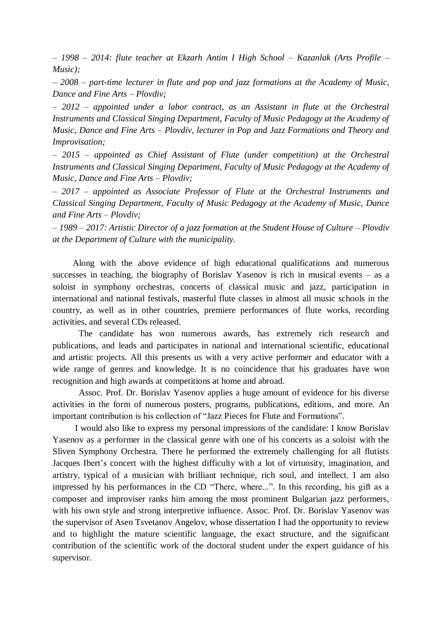*– 1998 – 2014: flute teacher at Ekzarh Antim I High School – Kazanlak (Arts Profile – Music);* 

*– 2008 – part-time lecturer in flute and pop and jazz formations at the Academy of Music, Dance and Fine Arts – Plovdiv;* 

*– 2012 – appointed under a labor contract, as an Assistant in flute at the Orchestral Instruments and Classical Singing Department, Faculty of Music Pedagogy at the Academy of Music, Dance and Fine Arts – Plovdiv, lecturer in Pop and Jazz Formations and Theory and Improvisation;* 

*– 2015 – appointed as Chief Assistant of Flute (under competition) at the Orchestral Instruments and Classical Singing Department, Faculty of Music Pedagogy at the Academy of Music, Dance and Fine Arts – Plovdiv;* 

*– 2017 – appointed as Associate Professor of Flute at the Orchestral Instruments and Classical Singing Department, Faculty of Music Pedagogy at the Academy of Music, Dance and Fine Arts – Plovdiv;* 

*– 1989 – 2017: Artistic Director of a jazz formation at the Student House of Culture – Plovdiv at the Department of Culture with the municipality.*

 Along with the above evidence of high educational qualifications and numerous successes in teaching, the biography of Borislav Yasenov is rich in musical events – as a soloist in symphony orchestras, concerts of classical music and jazz, participation in international and national festivals, masterful flute classes in almost all music schools in the country, as well as in other countries, premiere performances of flute works, recording activities, and several CDs released.

The candidate has won numerous awards, has extremely rich research and publications, and leads and participates in national and international scientific, educational and artistic projects. All this presents us with a very active performer and educator with a wide range of genres and knowledge. It is no coincidence that his graduates have won recognition and high awards at competitions at home and abroad.

Assoc. Prof. Dr. Borislav Yasenov applies a huge amount of evidence for his diverse activities in the form of numerous posters, programs, publications, editions, and more. An important contribution is his collection of "Jazz Pieces for Flute and Formations".

 I would also like to express my personal impressions of the candidate: I know Borislav Yasenov as a performer in the classical genre with one of his concerts as a soloist with the Sliven Symphony Orchestra. There he performed the extremely challenging for all flutists Jacques Ibert's concert with the highest difficulty with a lot of virtuosity, imagination, and artistry, typical of a musician with brilliant technique, rich soul, and intellect. I am also impressed by his performances in the CD "There, where...". In this recording, his gift as a composer and improviser ranks him among the most prominent Bulgarian jazz performers, with his own style and strong interpretive influence. Assoc. Prof. Dr. Borislav Yasenov was the supervisor of Asen Tsvetanov Angelov, whose dissertation I had the opportunity to review and to highlight the mature scientific language, the exact structure, and the significant contribution of the scientific work of the doctoral student under the expert guidance of his supervisor.